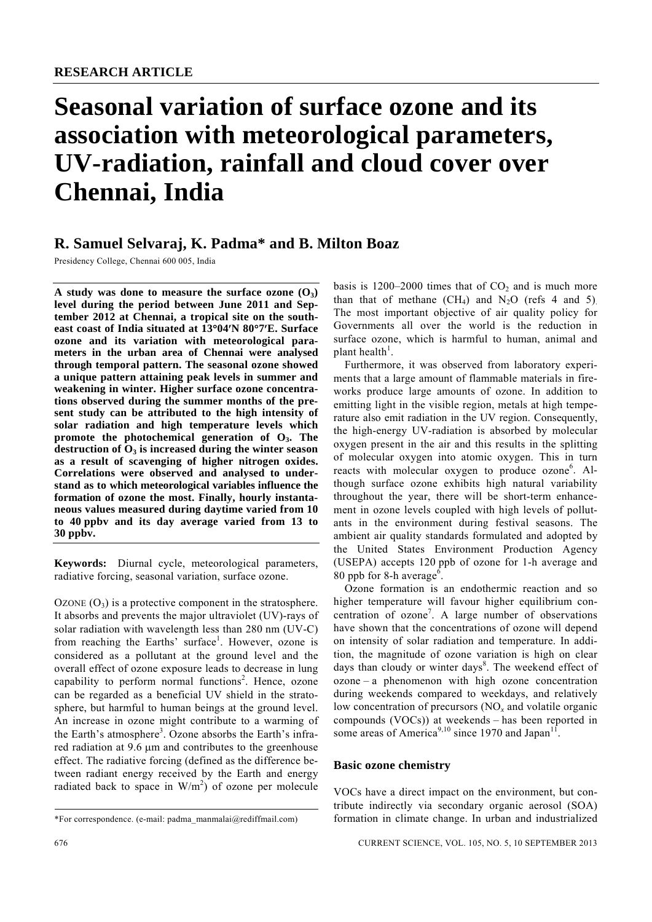# **Seasonal variation of surface ozone and its association with meteorological parameters, UV-radiation, rainfall and cloud cover over Chennai, India**

## **R. Samuel Selvaraj, K. Padma\* and B. Milton Boaz**

Presidency College, Chennai 600 005, India

A study was done to measure the surface ozone  $(O_3)$ **level during the period between June 2011 and September 2012 at Chennai, a tropical site on the southeast coast of India situated at 13**°**04**′**N 80**°**7**′**E. Surface ozone and its variation with meteorological parameters in the urban area of Chennai were analysed through temporal pattern. The seasonal ozone showed a unique pattern attaining peak levels in summer and weakening in winter. Higher surface ozone concentrations observed during the summer months of the present study can be attributed to the high intensity of solar radiation and high temperature levels which promote the photochemical generation of O3. The**  destruction of  $\overline{O}_3$  is increased during the winter season **as a result of scavenging of higher nitrogen oxides. Correlations were observed and analysed to understand as to which meteorological variables influence the formation of ozone the most. Finally, hourly instantaneous values measured during daytime varied from 10 to 40 ppbv and its day average varied from 13 to 30 ppbv.** 

**Keywords:** Diurnal cycle, meteorological parameters, radiative forcing, seasonal variation, surface ozone.

OZONE  $(O_3)$  is a protective component in the stratosphere. It absorbs and prevents the major ultraviolet (UV)-rays of solar radiation with wavelength less than 280 nm (UV-C) from reaching the Earths' surface<sup>1</sup>. However, ozone is considered as a pollutant at the ground level and the overall effect of ozone exposure leads to decrease in lung capability to perform normal functions<sup>2</sup>. Hence, ozone can be regarded as a beneficial UV shield in the stratosphere, but harmful to human beings at the ground level. An increase in ozone might contribute to a warming of the Earth's atmosphere<sup>3</sup>. Ozone absorbs the Earth's infrared radiation at 9.6 μm and contributes to the greenhouse effect. The radiative forcing (defined as the difference between radiant energy received by the Earth and energy radiated back to space in  $W/m<sup>2</sup>$  of ozone per molecule basis is 1200–2000 times that of  $CO<sub>2</sub>$  and is much more than that of methane  $(CH_4)$  and  $N_2O$  (refs 4 and 5). The most important objective of air quality policy for Governments all over the world is the reduction in surface ozone, which is harmful to human, animal and plant health<sup>1</sup>.

 Furthermore, it was observed from laboratory experiments that a large amount of flammable materials in fireworks produce large amounts of ozone. In addition to emitting light in the visible region, metals at high temperature also emit radiation in the UV region. Consequently, the high-energy UV-radiation is absorbed by molecular oxygen present in the air and this results in the splitting of molecular oxygen into atomic oxygen. This in turn reacts with molecular oxygen to produce ozone<sup>6</sup>. Although surface ozone exhibits high natural variability throughout the year, there will be short-term enhancement in ozone levels coupled with high levels of pollutants in the environment during festival seasons. The ambient air quality standards formulated and adopted by the United States Environment Production Agency (USEPA) accepts 120 ppb of ozone for 1-h average and 80 ppb for 8-h average<sup>6</sup>.

 Ozone formation is an endothermic reaction and so higher temperature will favour higher equilibrium concentration of ozone<sup>7</sup> . A large number of observations have shown that the concentrations of ozone will depend on intensity of solar radiation and temperature. In addition, the magnitude of ozone variation is high on clear days than cloudy or winter days<sup>8</sup>. The weekend effect of ozone – a phenomenon with high ozone concentration during weekends compared to weekdays, and relatively low concentration of precursors (NO*x* and volatile organic compounds (VOCs)) at weekends – has been reported in some areas of America<sup>9,10</sup> since 1970 and Japan<sup>11</sup>.

## **Basic ozone chemistry**

VOCs have a direct impact on the environment, but contribute indirectly via secondary organic aerosol (SOA) formation in climate change. In urban and industrialized

<sup>\*</sup>For correspondence. (e-mail: padma\_manmalai@rediffmail.com)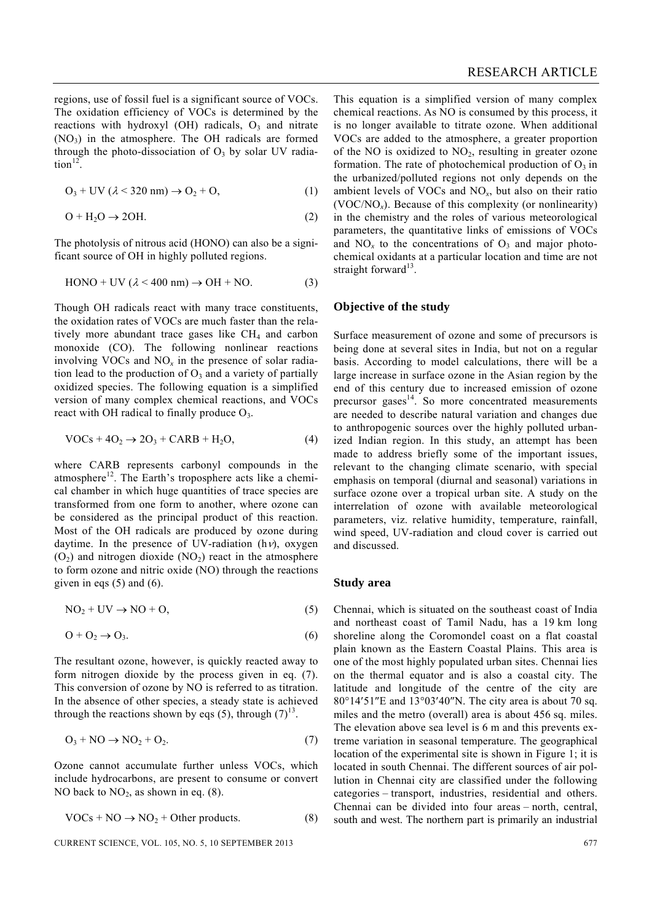regions, use of fossil fuel is a significant source of VOCs. The oxidation efficiency of VOCs is determined by the reactions with hydroxyl (OH) radicals,  $O_3$  and nitrate  $(NO<sub>3</sub>)$  in the atmosphere. The OH radicals are formed through the photo-dissociation of  $O<sub>3</sub>$  by solar UV radia- $\arctan^{12}$ .

$$
O_3 + UV \ (\lambda < 320 \text{ nm}) \rightarrow O_2 + O, \tag{1}
$$

$$
O + H_2O \rightarrow 2OH. \tag{2}
$$

The photolysis of nitrous acid (HONO) can also be a significant source of OH in highly polluted regions.

$$
HONO + UV (\lambda < 400 \text{ nm}) \rightarrow OH + NO.
$$
 (3)

Though OH radicals react with many trace constituents, the oxidation rates of VOCs are much faster than the relatively more abundant trace gases like  $CH<sub>4</sub>$  and carbon monoxide (CO). The following nonlinear reactions involving VOCs and  $NO<sub>x</sub>$  in the presence of solar radiation lead to the production of  $O_3$  and a variety of partially oxidized species. The following equation is a simplified version of many complex chemical reactions, and VOCs react with OH radical to finally produce  $O_3$ .

$$
VOCs + 4O2 \rightarrow 2O3 + CARB + H2O,
$$
\n(4)

where CARB represents carbonyl compounds in the atmosphere<sup>12</sup>. The Earth's troposphere acts like a chemical chamber in which huge quantities of trace species are transformed from one form to another, where ozone can be considered as the principal product of this reaction. Most of the OH radicals are produced by ozone during daytime. In the presence of UV-radiation (h $\nu$ ), oxygen  $(O_2)$  and nitrogen dioxide  $(NO_2)$  react in the atmosphere to form ozone and nitric oxide (NO) through the reactions given in eqs  $(5)$  and  $(6)$ .

$$
NO2 + UV \rightarrow NO + O,
$$
 (5)

$$
O + O_2 \rightarrow O_3. \tag{6}
$$

The resultant ozone, however, is quickly reacted away to form nitrogen dioxide by the process given in eq. (7). This conversion of ozone by NO is referred to as titration. In the absence of other species, a steady state is achieved through the reactions shown by eqs (5), through  $(7)^{13}$ .

$$
O_3 + NO \rightarrow NO_2 + O_2. \tag{7}
$$

Ozone cannot accumulate further unless VOCs, which include hydrocarbons, are present to consume or convert NO back to  $NO<sub>2</sub>$ , as shown in eq. (8).

$$
VOCs + NO \rightarrow NO2 + Other products.
$$
 (8)

$$
CURRENT SCIENCE, VOL. 105, NO. 5, 10 SEPTEMBER 2013
$$

This equation is a simplified version of many complex chemical reactions. As NO is consumed by this process, it is no longer available to titrate ozone. When additional VOCs are added to the atmosphere, a greater proportion of the NO is oxidized to  $NO<sub>2</sub>$ , resulting in greater ozone formation. The rate of photochemical production of  $O_3$  in the urbanized/polluted regions not only depends on the ambient levels of VOCs and NO*x*, but also on their ratio (VOC/NO*x*). Because of this complexity (or nonlinearity) in the chemistry and the roles of various meteorological parameters, the quantitative links of emissions of VOCs and  $NO<sub>x</sub>$  to the concentrations of  $O<sub>3</sub>$  and major photochemical oxidants at a particular location and time are not straight forward<sup>13</sup>.

#### **Objective of the study**

Surface measurement of ozone and some of precursors is being done at several sites in India, but not on a regular basis. According to model calculations, there will be a large increase in surface ozone in the Asian region by the end of this century due to increased emission of ozone precursor gases<sup>14</sup>. So more concentrated measurements are needed to describe natural variation and changes due to anthropogenic sources over the highly polluted urbanized Indian region. In this study, an attempt has been made to address briefly some of the important issues, relevant to the changing climate scenario, with special emphasis on temporal (diurnal and seasonal) variations in surface ozone over a tropical urban site. A study on the interrelation of ozone with available meteorological parameters, viz. relative humidity, temperature, rainfall, wind speed, UV-radiation and cloud cover is carried out and discussed.

#### **Study area**

Chennai, which is situated on the southeast coast of India and northeast coast of Tamil Nadu, has a 19 km long shoreline along the Coromondel coast on a flat coastal plain known as the Eastern Coastal Plains. This area is one of the most highly populated urban sites. Chennai lies on the thermal equator and is also a coastal city. The latitude and longitude of the centre of the city are 80°14′51″E and 13°03′40″N. The city area is about 70 sq. miles and the metro (overall) area is about 456 sq. miles. The elevation above sea level is 6 m and this prevents extreme variation in seasonal temperature. The geographical location of the experimental site is shown in Figure 1; it is located in south Chennai. The different sources of air pollution in Chennai city are classified under the following categories – transport, industries, residential and others. Chennai can be divided into four areas – north, central, south and west. The northern part is primarily an industrial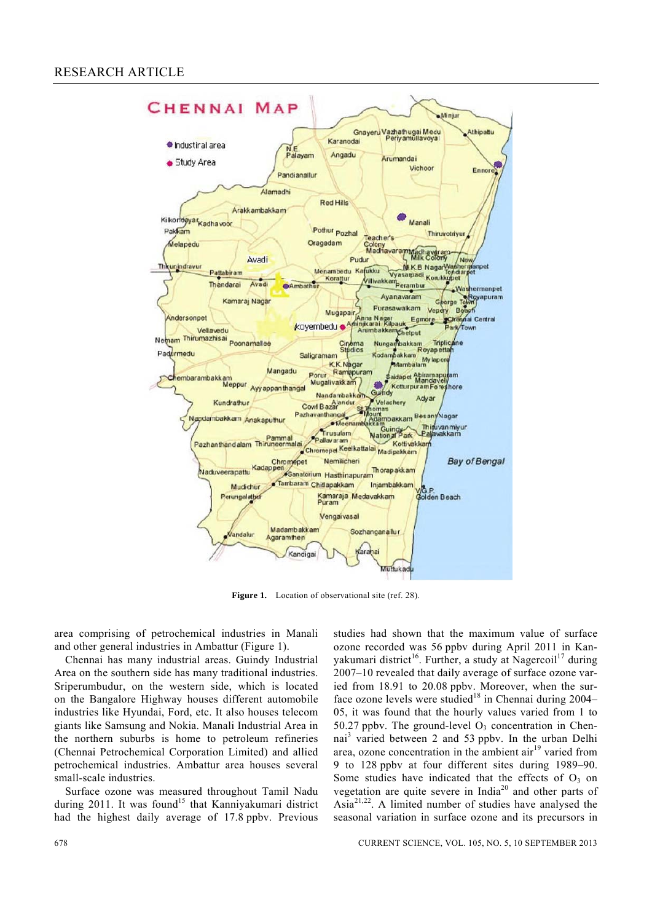

Figure 1. Location of observational site (ref. 28).

area comprising of petrochemical industries in Manali and other general industries in Ambattur (Figure 1).

 Chennai has many industrial areas. Guindy Industrial Area on the southern side has many traditional industries. Sriperumbudur, on the western side, which is located on the Bangalore Highway houses different automobile industries like Hyundai, Ford, etc. It also houses telecom giants like Samsung and Nokia. Manali Industrial Area in the northern suburbs is home to petroleum refineries (Chennai Petrochemical Corporation Limited) and allied petrochemical industries. Ambattur area houses several small-scale industries.

 Surface ozone was measured throughout Tamil Nadu during 2011. It was found<sup>15</sup> that Kanniyakumari district had the highest daily average of 17.8 ppbv. Previous

studies had shown that the maximum value of surface ozone recorded was 56 ppbv during April 2011 in Kanyakumari district<sup>16</sup>. Further, a study at Nagercoil<sup>17</sup> during 2007–10 revealed that daily average of surface ozone varied from 18.91 to 20.08 ppbv. Moreover, when the surface ozone levels were studied<sup>18</sup> in Chennai during  $2004-$ 05, it was found that the hourly values varied from 1 to 50.27 ppby. The ground-level  $O_3$  concentration in Chennai<sup>3</sup> varied between 2 and 53 ppbv. In the urban Delhi area, ozone concentration in the ambient  $\arctan^{19}$  varied from 9 to 128 ppbv at four different sites during 1989–90. Some studies have indicated that the effects of  $O<sub>3</sub>$  on vegetation are quite severe in India<sup>20</sup> and other parts of Asia21,22. A limited number of studies have analysed the seasonal variation in surface ozone and its precursors in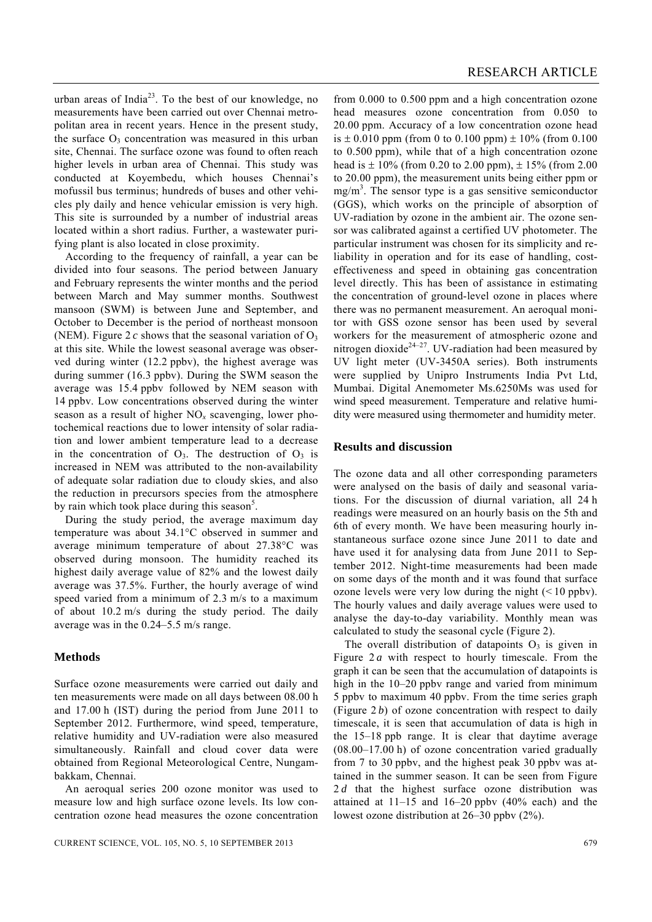urban areas of India<sup>23</sup>. To the best of our knowledge, no measurements have been carried out over Chennai metropolitan area in recent years. Hence in the present study, the surface  $O_3$  concentration was measured in this urban site, Chennai. The surface ozone was found to often reach higher levels in urban area of Chennai. This study was conducted at Koyembedu, which houses Chennai's mofussil bus terminus; hundreds of buses and other vehicles ply daily and hence vehicular emission is very high. This site is surrounded by a number of industrial areas located within a short radius. Further, a wastewater purifying plant is also located in close proximity.

 According to the frequency of rainfall, a year can be divided into four seasons. The period between January and February represents the winter months and the period between March and May summer months. Southwest mansoon (SWM) is between June and September, and October to December is the period of northeast monsoon (NEM). Figure  $2c$  shows that the seasonal variation of  $O_3$ at this site. While the lowest seasonal average was observed during winter (12.2 ppbv), the highest average was during summer (16.3 ppbv). During the SWM season the average was 15.4 ppbv followed by NEM season with 14 ppbv. Low concentrations observed during the winter season as a result of higher NO*x* scavenging, lower photochemical reactions due to lower intensity of solar radiation and lower ambient temperature lead to a decrease in the concentration of  $O_3$ . The destruction of  $O_3$  is increased in NEM was attributed to the non-availability of adequate solar radiation due to cloudy skies, and also the reduction in precursors species from the atmosphere by rain which took place during this season<sup>5</sup>.

 During the study period, the average maximum day temperature was about 34.1°C observed in summer and average minimum temperature of about 27.38°C was observed during monsoon. The humidity reached its highest daily average value of 82% and the lowest daily average was 37.5%. Further, the hourly average of wind speed varied from a minimum of 2.3 m/s to a maximum of about 10.2 m/s during the study period. The daily average was in the 0.24–5.5 m/s range.

## **Methods**

Surface ozone measurements were carried out daily and ten measurements were made on all days between 08.00 h and 17.00 h (IST) during the period from June 2011 to September 2012. Furthermore, wind speed, temperature, relative humidity and UV-radiation were also measured simultaneously. Rainfall and cloud cover data were obtained from Regional Meteorological Centre, Nungambakkam, Chennai.

 An aeroqual series 200 ozone monitor was used to measure low and high surface ozone levels. Its low concentration ozone head measures the ozone concentration

from 0.000 to 0.500 ppm and a high concentration ozone head measures ozone concentration from 0.050 to 20.00 ppm. Accuracy of a low concentration ozone head is  $\pm$  0.010 ppm (from 0 to 0.100 ppm)  $\pm$  10% (from 0.100 to 0.500 ppm), while that of a high concentration ozone head is  $\pm 10\%$  (from 0.20 to 2.00 ppm),  $\pm 15\%$  (from 2.00 to 20.00 ppm), the measurement units being either ppm or  $mg/m<sup>3</sup>$ . The sensor type is a gas sensitive semiconductor (GGS), which works on the principle of absorption of UV-radiation by ozone in the ambient air. The ozone sensor was calibrated against a certified UV photometer. The particular instrument was chosen for its simplicity and reliability in operation and for its ease of handling, costeffectiveness and speed in obtaining gas concentration level directly. This has been of assistance in estimating the concentration of ground-level ozone in places where there was no permanent measurement. An aeroqual monitor with GSS ozone sensor has been used by several workers for the measurement of atmospheric ozone and nitrogen dioxide<sup>24–27</sup>. UV-radiation had been measured by UV light meter (UV-3450A series). Both instruments were supplied by Unipro Instruments India Pvt Ltd, Mumbai. Digital Anemometer Ms.6250Ms was used for wind speed measurement. Temperature and relative humidity were measured using thermometer and humidity meter.

#### **Results and discussion**

The ozone data and all other corresponding parameters were analysed on the basis of daily and seasonal variations. For the discussion of diurnal variation, all 24 h readings were measured on an hourly basis on the 5th and 6th of every month. We have been measuring hourly instantaneous surface ozone since June 2011 to date and have used it for analysing data from June 2011 to September 2012. Night-time measurements had been made on some days of the month and it was found that surface ozone levels were very low during the night  $(< 10$  ppbv). The hourly values and daily average values were used to analyse the day-to-day variability. Monthly mean was calculated to study the seasonal cycle (Figure 2).

The overall distribution of datapoints  $O_3$  is given in Figure 2*a* with respect to hourly timescale. From the graph it can be seen that the accumulation of datapoints is high in the 10–20 ppby range and varied from minimum 5 ppbv to maximum 40 ppbv. From the time series graph (Figure  $2b$ ) of ozone concentration with respect to daily timescale, it is seen that accumulation of data is high in the 15–18 ppb range. It is clear that daytime average (08.00–17.00 h) of ozone concentration varied gradually from 7 to 30 ppbv, and the highest peak 30 ppbv was attained in the summer season. It can be seen from Figure 2*d* that the highest surface ozone distribution was attained at  $11-15$  and  $16-20$  ppby  $(40\%$  each) and the lowest ozone distribution at 26–30 ppbv (2%).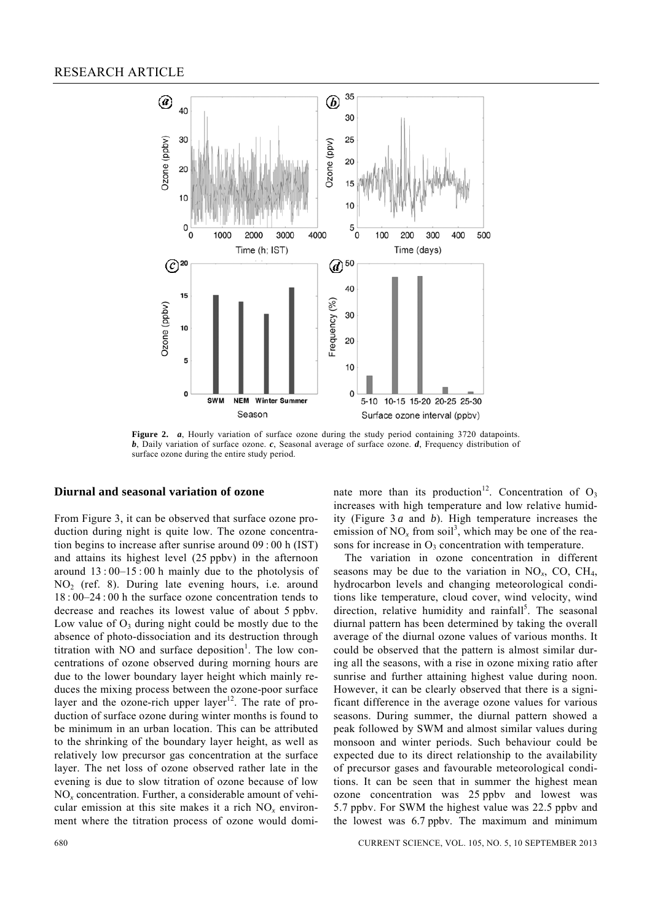

**Figure 2.** *a*, Hourly variation of surface ozone during the study period containing 3720 datapoints. *b*, Daily variation of surface ozone. *c*, Seasonal average of surface ozone. *d*, Frequency distribution of surface ozone during the entire study period.

#### **Diurnal and seasonal variation of ozone**

From Figure 3, it can be observed that surface ozone production during night is quite low. The ozone concentration begins to increase after sunrise around 09 : 00 h (IST) and attains its highest level (25 ppbv) in the afternoon around  $13:00-15:00$  h mainly due to the photolysis of  $NO<sub>2</sub>$  (ref. 8). During late evening hours, i.e. around 18 : 00–24 : 00 h the surface ozone concentration tends to decrease and reaches its lowest value of about 5 ppbv. Low value of  $O_3$  during night could be mostly due to the absence of photo-dissociation and its destruction through titration with NO and surface deposition<sup>1</sup>. The low concentrations of ozone observed during morning hours are due to the lower boundary layer height which mainly reduces the mixing process between the ozone-poor surface layer and the ozone-rich upper layer<sup>12</sup>. The rate of production of surface ozone during winter months is found to be minimum in an urban location. This can be attributed to the shrinking of the boundary layer height, as well as relatively low precursor gas concentration at the surface layer. The net loss of ozone observed rather late in the evening is due to slow titration of ozone because of low NO*x* concentration. Further, a considerable amount of vehicular emission at this site makes it a rich  $NO<sub>x</sub>$  environment where the titration process of ozone would dominate more than its production<sup>12</sup>. Concentration of  $O_3$ increases with high temperature and low relative humidity (Figure 3 *a* and *b*). High temperature increases the emission of  $NO_x$  from soil<sup>3</sup>, which may be one of the reasons for increase in  $O_3$  concentration with temperature.

 The variation in ozone concentration in different seasons may be due to the variation in  $NO<sub>x</sub>$ , CO, CH<sub>4</sub>, hydrocarbon levels and changing meteorological conditions like temperature, cloud cover, wind velocity, wind direction, relative humidity and rainfall<sup>5</sup>. The seasonal diurnal pattern has been determined by taking the overall average of the diurnal ozone values of various months. It could be observed that the pattern is almost similar during all the seasons, with a rise in ozone mixing ratio after sunrise and further attaining highest value during noon. However, it can be clearly observed that there is a significant difference in the average ozone values for various seasons. During summer, the diurnal pattern showed a peak followed by SWM and almost similar values during monsoon and winter periods. Such behaviour could be expected due to its direct relationship to the availability of precursor gases and favourable meteorological conditions. It can be seen that in summer the highest mean ozone concentration was 25 ppbv and lowest was 5.7 ppbv. For SWM the highest value was 22.5 ppbv and the lowest was 6.7 ppbv. The maximum and minimum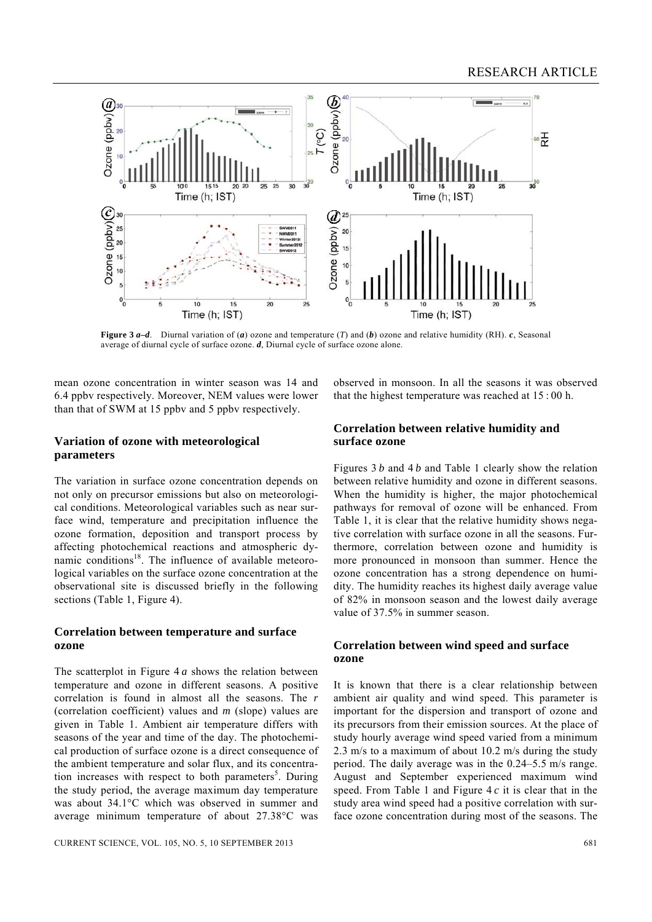

**Figure 3** *a***–***d*. Diurnal variation of (*a*) ozone and temperature (*T*) and (*b*) ozone and relative humidity (RH). *c*, Seasonal average of diurnal cycle of surface ozone. *d*, Diurnal cycle of surface ozone alone.

mean ozone concentration in winter season was 14 and 6.4 ppbv respectively. Moreover, NEM values were lower than that of SWM at 15 ppbv and 5 ppbv respectively.

observed in monsoon. In all the seasons it was observed that the highest temperature was reached at 15 : 00 h.

## **Variation of ozone with meteorological parameters**

The variation in surface ozone concentration depends on not only on precursor emissions but also on meteorological conditions. Meteorological variables such as near surface wind, temperature and precipitation influence the ozone formation, deposition and transport process by affecting photochemical reactions and atmospheric dynamic conditions<sup>18</sup>. The influence of available meteorological variables on the surface ozone concentration at the observational site is discussed briefly in the following sections (Table 1, Figure 4).

## **Correlation between temperature and surface ozone**

The scatterplot in Figure 4 *a* shows the relation between temperature and ozone in different seasons. A positive correlation is found in almost all the seasons. The *r* (correlation coefficient) values and *m* (slope) values are given in Table 1. Ambient air temperature differs with seasons of the year and time of the day. The photochemical production of surface ozone is a direct consequence of the ambient temperature and solar flux, and its concentration increases with respect to both parameters<sup>5</sup>. During the study period, the average maximum day temperature was about 34.1°C which was observed in summer and average minimum temperature of about 27.38°C was

## **Correlation between relative humidity and surface ozone**

Figures 3 *b* and 4 *b* and Table 1 clearly show the relation between relative humidity and ozone in different seasons. When the humidity is higher, the major photochemical pathways for removal of ozone will be enhanced. From Table 1, it is clear that the relative humidity shows negative correlation with surface ozone in all the seasons. Furthermore, correlation between ozone and humidity is more pronounced in monsoon than summer. Hence the ozone concentration has a strong dependence on humidity. The humidity reaches its highest daily average value of 82% in monsoon season and the lowest daily average value of 37.5% in summer season.

## **Correlation between wind speed and surface ozone**

It is known that there is a clear relationship between ambient air quality and wind speed. This parameter is important for the dispersion and transport of ozone and its precursors from their emission sources. At the place of study hourly average wind speed varied from a minimum 2.3 m/s to a maximum of about 10.2 m/s during the study period. The daily average was in the 0.24–5.5 m/s range. August and September experienced maximum wind speed. From Table 1 and Figure 4 *c* it is clear that in the study area wind speed had a positive correlation with surface ozone concentration during most of the seasons. The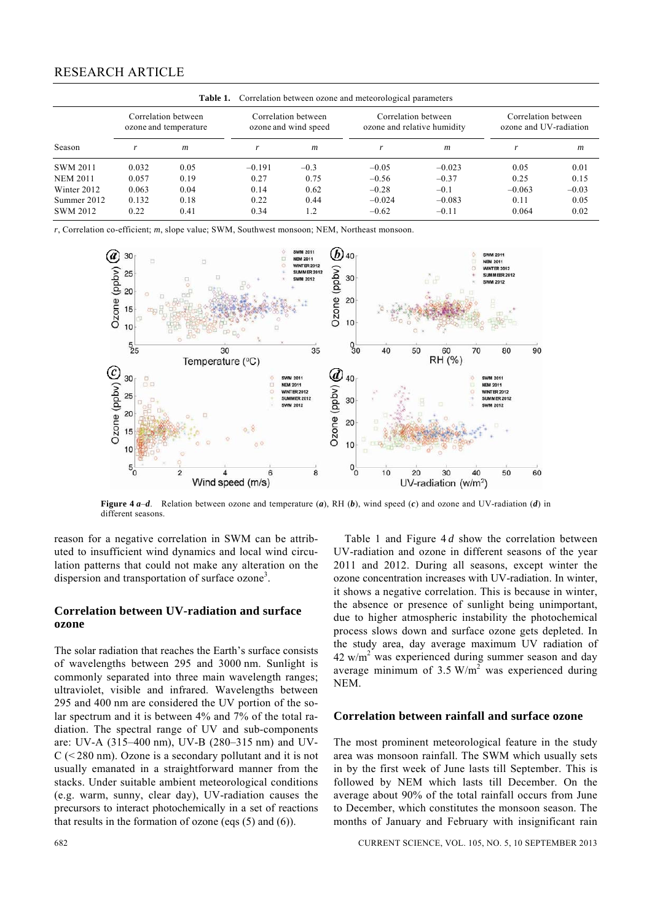| <b>Table 1.</b> Correlation between ozone and meteorological parameters |                                              |                  |                                             |                  |                                                    |                  |                                               |                  |
|-------------------------------------------------------------------------|----------------------------------------------|------------------|---------------------------------------------|------------------|----------------------------------------------------|------------------|-----------------------------------------------|------------------|
|                                                                         | Correlation between<br>ozone and temperature |                  | Correlation between<br>ozone and wind speed |                  | Correlation between<br>ozone and relative humidity |                  | Correlation between<br>ozone and UV-radiation |                  |
| Season                                                                  |                                              | $\boldsymbol{m}$ |                                             | $\boldsymbol{m}$ |                                                    | $\boldsymbol{m}$ | r                                             | $\boldsymbol{m}$ |
| <b>SWM 2011</b>                                                         | 0.032                                        | 0.05             | $-0.191$                                    | $-0.3$           | $-0.05$                                            | $-0.023$         | 0.05                                          | 0.01             |
| <b>NEM 2011</b>                                                         | 0.057                                        | 0.19             | 0.27                                        | 0.75             | $-0.56$                                            | $-0.37$          | 0.25                                          | 0.15             |
| Winter 2012                                                             | 0.063                                        | 0.04             | 0.14                                        | 0.62             | $-0.28$                                            | $-0.1$           | $-0.063$                                      | $-0.03$          |
| Summer 2012                                                             | 0.132                                        | 0.18             | 0.22                                        | 0.44             | $-0.024$                                           | $-0.083$         | 0.11                                          | 0.05             |
| <b>SWM 2012</b>                                                         | 0.22                                         | 0.41             | 0.34                                        | 1.2              | $-0.62$                                            | $-0.11$          | 0.064                                         | 0.02             |

*r*, Correlation co-efficient; *m*, slope value; SWM, Southwest monsoon; NEM, Northeast monsoon.



**Figure 4** *a*–*d*. Relation between ozone and temperature (*a*), RH (*b*), wind speed (*c*) and ozone and UV-radiation (*d*) in different seasons.

reason for a negative correlation in SWM can be attributed to insufficient wind dynamics and local wind circulation patterns that could not make any alteration on the dispersion and transportation of surface ozone<sup>3</sup>.

## **Correlation between UV-radiation and surface ozone**

The solar radiation that reaches the Earth's surface consists of wavelengths between 295 and 3000 nm. Sunlight is commonly separated into three main wavelength ranges; ultraviolet, visible and infrared. Wavelengths between 295 and 400 nm are considered the UV portion of the solar spectrum and it is between 4% and 7% of the total radiation. The spectral range of UV and sub-components are: UV-A (315–400 nm), UV-B (280–315 nm) and UV- $C$  (< 280 nm). Ozone is a secondary pollutant and it is not usually emanated in a straightforward manner from the stacks. Under suitable ambient meteorological conditions (e.g. warm, sunny, clear day), UV-radiation causes the precursors to interact photochemically in a set of reactions that results in the formation of ozone (eqs (5) and (6)).

 Table 1 and Figure 4 *d* show the correlation between UV-radiation and ozone in different seasons of the year 2011 and 2012. During all seasons, except winter the ozone concentration increases with UV-radiation. In winter, it shows a negative correlation. This is because in winter, the absence or presence of sunlight being unimportant, due to higher atmospheric instability the photochemical process slows down and surface ozone gets depleted. In the study area, day average maximum UV radiation of  $42 \text{ w/m}^2$  was experienced during summer season and day average minimum of 3.5  $W/m^2$  was experienced during NEM.

#### **Correlation between rainfall and surface ozone**

The most prominent meteorological feature in the study area was monsoon rainfall. The SWM which usually sets in by the first week of June lasts till September. This is followed by NEM which lasts till December. On the average about 90% of the total rainfall occurs from June to December, which constitutes the monsoon season. The months of January and February with insignificant rain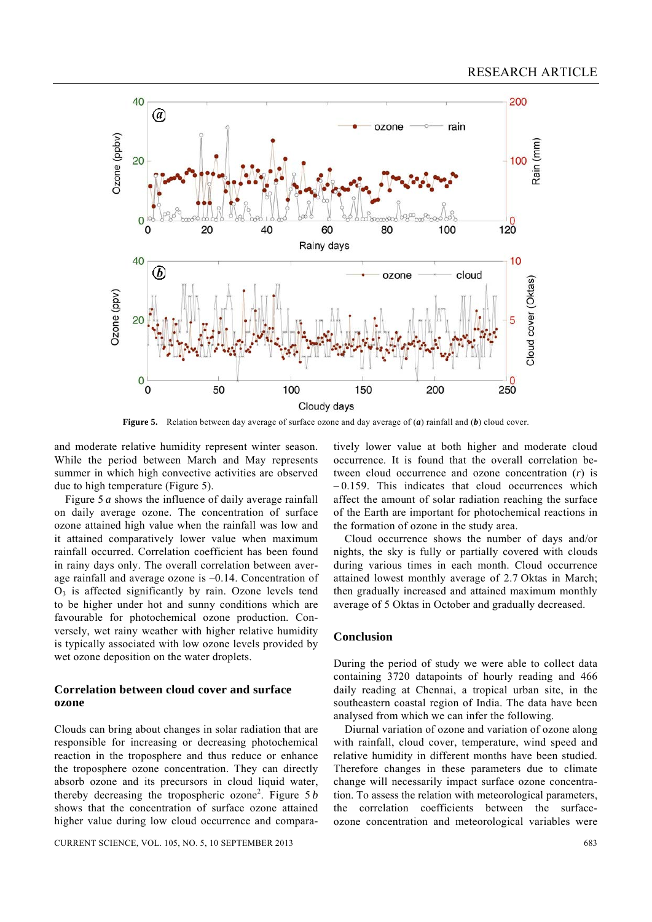

**Figure 5.** Relation between day average of surface ozone and day average of (*a*) rainfall and (*b*) cloud cover.

and moderate relative humidity represent winter season. While the period between March and May represents summer in which high convective activities are observed due to high temperature (Figure 5).

 Figure 5 *a* shows the influence of daily average rainfall on daily average ozone. The concentration of surface ozone attained high value when the rainfall was low and it attained comparatively lower value when maximum rainfall occurred. Correlation coefficient has been found in rainy days only. The overall correlation between average rainfall and average ozone is –0.14. Concentration of  $O<sub>3</sub>$  is affected significantly by rain. Ozone levels tend to be higher under hot and sunny conditions which are favourable for photochemical ozone production. Conversely, wet rainy weather with higher relative humidity is typically associated with low ozone levels provided by wet ozone deposition on the water droplets.

## **Correlation between cloud cover and surface ozone**

Clouds can bring about changes in solar radiation that are responsible for increasing or decreasing photochemical reaction in the troposphere and thus reduce or enhance the troposphere ozone concentration. They can directly absorb ozone and its precursors in cloud liquid water, thereby decreasing the tropospheric ozone<sup>2</sup>. Figure 5*b* shows that the concentration of surface ozone attained higher value during low cloud occurrence and compara-

CURRENT SCIENCE, VOL. 105, NO. 5, 10 SEPTEMBER 2013 683

tively lower value at both higher and moderate cloud occurrence. It is found that the overall correlation between cloud occurrence and ozone concentration (*r*) is  $-0.159$ . This indicates that cloud occurrences which affect the amount of solar radiation reaching the surface of the Earth are important for photochemical reactions in the formation of ozone in the study area.

 Cloud occurrence shows the number of days and/or nights, the sky is fully or partially covered with clouds during various times in each month. Cloud occurrence attained lowest monthly average of 2.7 Oktas in March; then gradually increased and attained maximum monthly average of 5 Oktas in October and gradually decreased.

#### **Conclusion**

During the period of study we were able to collect data containing 3720 datapoints of hourly reading and 466 daily reading at Chennai, a tropical urban site, in the southeastern coastal region of India. The data have been analysed from which we can infer the following.

 Diurnal variation of ozone and variation of ozone along with rainfall, cloud cover, temperature, wind speed and relative humidity in different months have been studied. Therefore changes in these parameters due to climate change will necessarily impact surface ozone concentration. To assess the relation with meteorological parameters, the correlation coefficients between the surfaceozone concentration and meteorological variables were